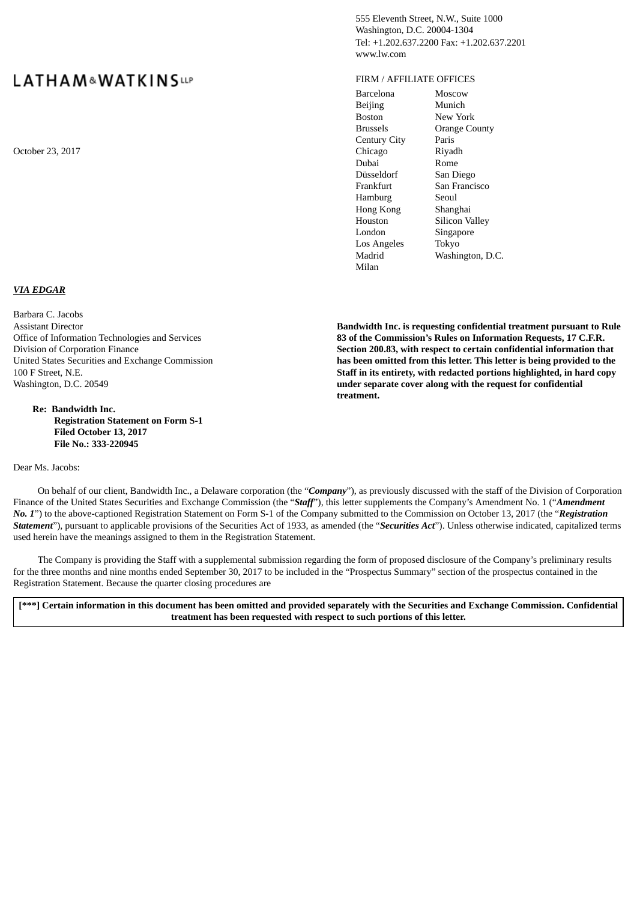# **LATHAM&WATKINSLLP**

# *VIA EDGAR*

Barbara C. Jacobs Assistant Director Office of Information Technologies and Services Division of Corporation Finance United States Securities and Exchange Commission 100 F Street, N.E. Washington, D.C. 20549

**Re: Bandwidth Inc. Registration Statement on Form S-1 Filed October 13, 2017 File No.: 333-220945**

Dear Ms. Jacobs:

555 Eleventh Street, N.W., Suite 1000 Washington, D.C. 20004-1304 Tel: +1.202.637.2200 Fax: +1.202.637.2201 www.lw.com

#### FIRM / AFFILIATE OFFICES

Barcelona Moscow Beijing Munich Boston New York Brussels Orange County Century City Paris October 23, 2017 **Chicago** Riyadh Dubai Rome Düsseldorf San Diego Frankfurt San Francisco Hamburg Seoul Hong Kong Shanghai Houston Silicon Valley London Singapore Los Angeles Tokyo Madrid Washington, D.C. Milan

> **Bandwidth Inc. is requesting confidential treatment pursuant to Rule 83 of the Commission's Rules on Information Requests, 17 C.F.R. Section 200.83, with respect to certain confidential information that has been omitted from this letter. This letter is being provided to the Staff in its entirety, with redacted portions highlighted, in hard copy under separate cover along with the request for confidential treatment.**

On behalf of our client, Bandwidth Inc., a Delaware corporation (the "*Company*"), as previously discussed with the staff of the Division of Corporation Finance of the United States Securities and Exchange Commission (the "*Staff*"), this letter supplements the Company's Amendment No. 1 ("*Amendment No. 1*") to the above-captioned Registration Statement on Form S-1 of the Company submitted to the Commission on October 13, 2017 (the "*Registration Statement*"), pursuant to applicable provisions of the Securities Act of 1933, as amended (the "*Securities Act*"). Unless otherwise indicated, capitalized terms used herein have the meanings assigned to them in the Registration Statement.

The Company is providing the Staff with a supplemental submission regarding the form of proposed disclosure of the Company's preliminary results for the three months and nine months ended September 30, 2017 to be included in the "Prospectus Summary" section of the prospectus contained in the Registration Statement. Because the quarter closing procedures are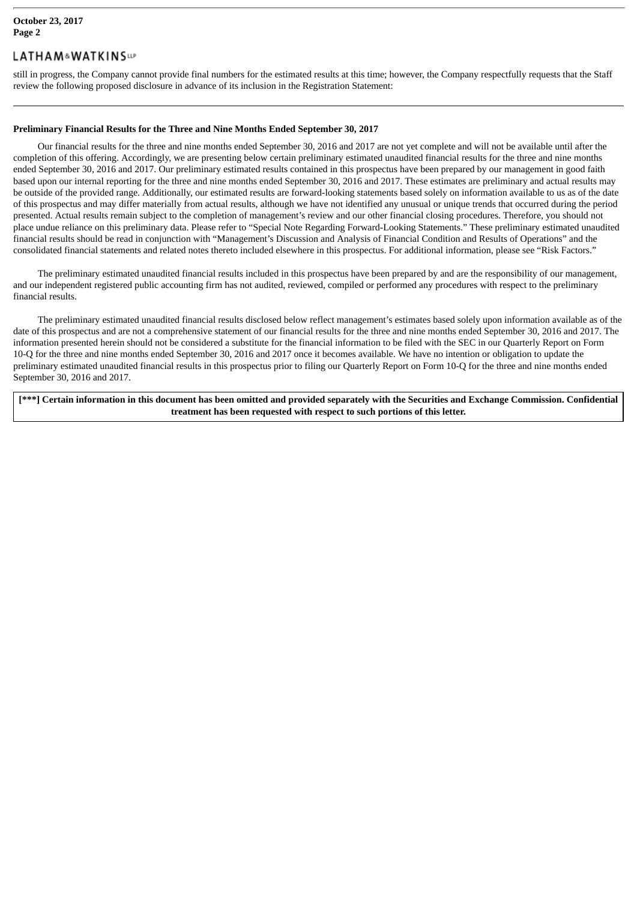## **LATHAM&WATKINSLIP**

still in progress, the Company cannot provide final numbers for the estimated results at this time; however, the Company respectfully requests that the Staff review the following proposed disclosure in advance of its inclusion in the Registration Statement:

#### **Preliminary Financial Results for the Three and Nine Months Ended September 30, 2017**

Our financial results for the three and nine months ended September 30, 2016 and 2017 are not yet complete and will not be available until after the completion of this offering. Accordingly, we are presenting below certain preliminary estimated unaudited financial results for the three and nine months ended September 30, 2016 and 2017. Our preliminary estimated results contained in this prospectus have been prepared by our management in good faith based upon our internal reporting for the three and nine months ended September 30, 2016 and 2017. These estimates are preliminary and actual results may be outside of the provided range. Additionally, our estimated results are forward-looking statements based solely on information available to us as of the date of this prospectus and may differ materially from actual results, although we have not identified any unusual or unique trends that occurred during the period presented. Actual results remain subject to the completion of management's review and our other financial closing procedures. Therefore, you should not place undue reliance on this preliminary data. Please refer to "Special Note Regarding Forward-Looking Statements." These preliminary estimated unaudited financial results should be read in conjunction with "Management's Discussion and Analysis of Financial Condition and Results of Operations" and the consolidated financial statements and related notes thereto included elsewhere in this prospectus. For additional information, please see "Risk Factors."

The preliminary estimated unaudited financial results included in this prospectus have been prepared by and are the responsibility of our management, and our independent registered public accounting firm has not audited, reviewed, compiled or performed any procedures with respect to the preliminary financial results.

The preliminary estimated unaudited financial results disclosed below reflect management's estimates based solely upon information available as of the date of this prospectus and are not a comprehensive statement of our financial results for the three and nine months ended September 30, 2016 and 2017. The information presented herein should not be considered a substitute for the financial information to be filed with the SEC in our Quarterly Report on Form 10-Q for the three and nine months ended September 30, 2016 and 2017 once it becomes available. We have no intention or obligation to update the preliminary estimated unaudited financial results in this prospectus prior to filing our Quarterly Report on Form 10-Q for the three and nine months ended September 30, 2016 and 2017.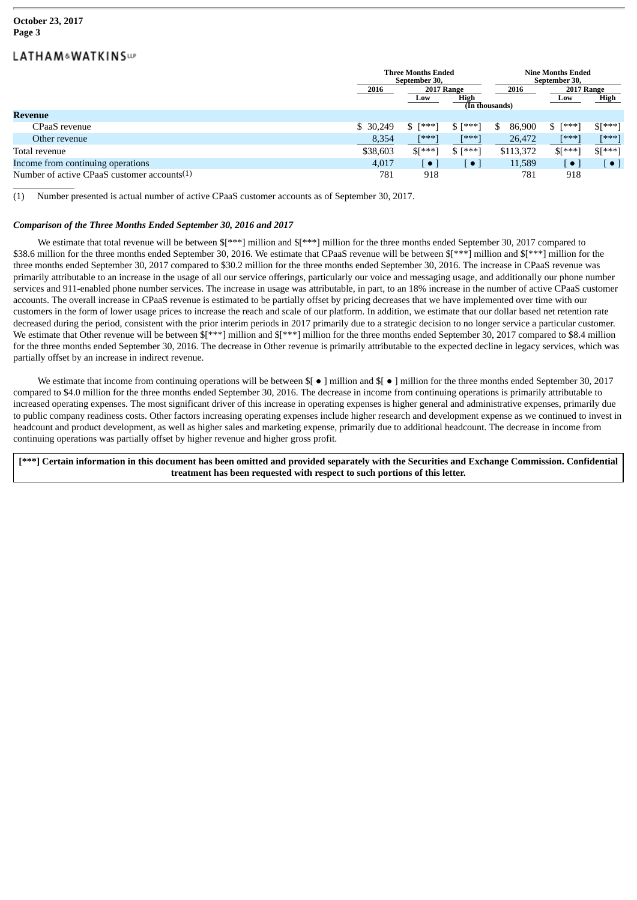#### **October 23, 2017 Page 3**

## **LATHAM&WATKINSLIP**

|                                                | <b>Three Months Ended</b><br>September 30, |                |           | <b>Nine Months Ended</b><br>September 30, |            |           |
|------------------------------------------------|--------------------------------------------|----------------|-----------|-------------------------------------------|------------|-----------|
|                                                |                                            |                |           |                                           |            |           |
|                                                | 2016<br>2017 Range                         |                |           | 2016                                      | 2017 Range |           |
|                                                |                                            | Low            | High      |                                           | Low        | High      |
|                                                |                                            | (In thousands) |           |                                           |            |           |
| Revenue                                        |                                            |                |           |                                           |            |           |
| CPaaS revenue                                  | \$30,249                                   | $$$ [***]      | $S$ [***] | 86,900<br>\$                              | $$$ [***]  | $$[***]$  |
| Other revenue                                  | 8,354                                      | [***]          | $[***]$   | 26,472                                    | [***]      | $[***]$   |
| Total revenue                                  | \$38,603                                   | $$[***]$       | $S$ [***] | \$113,372                                 | $$[***]$   | $$[***]$  |
| Income from continuing operations              | 4,017                                      | $\bullet$      | $\bullet$ | 11,589                                    | $\bullet$  | $\bullet$ |
| Number of active CPaaS customer accounts $(1)$ | 781                                        | 918            |           | 781                                       | 918        |           |

(1) Number presented is actual number of active CPaaS customer accounts as of September 30, 2017.

#### *Comparison of the Three Months Ended September 30, 2016 and 2017*

We estimate that total revenue will be between  $\frac{1}{2}$  \*\*\*] million and  $\frac{1}{2}$  million for the three months ended September 30, 2017 compared to \$38.6 million for the three months ended September 30, 2016. We estimate that CPaaS revenue will be between  $\frac{1}{8}$ [\*\*\*] million and  $\frac{1}{8}$ [\*\*\*] million for the three months ended September 30, 2017 compared to \$30.2 million for the three months ended September 30, 2016. The increase in CPaaS revenue was primarily attributable to an increase in the usage of all our service offerings, particularly our voice and messaging usage, and additionally our phone number services and 911-enabled phone number services. The increase in usage was attributable, in part, to an 18% increase in the number of active CPaaS customer accounts. The overall increase in CPaaS revenue is estimated to be partially offset by pricing decreases that we have implemented over time with our customers in the form of lower usage prices to increase the reach and scale of our platform. In addition, we estimate that our dollar based net retention rate decreased during the period, consistent with the prior interim periods in 2017 primarily due to a strategic decision to no longer service a particular customer. We estimate that Other revenue will be between  $\frac{1}{2}$ [\*\*\*] million and  $\frac{1}{2}$ [\*\*\*] million for the three months ended September 30, 2017 compared to \$8.4 million for the three months ended September 30, 2016. The decrease in Other revenue is primarily attributable to the expected decline in legacy services, which was partially offset by an increase in indirect revenue.

We estimate that income from continuing operations will be between  $\{\ \bullet \ \}$  million and  $\{\ \bullet \ \}$  million for the three months ended September 30, 2017 compared to \$4.0 million for the three months ended September 30, 2016. The decrease in income from continuing operations is primarily attributable to increased operating expenses. The most significant driver of this increase in operating expenses is higher general and administrative expenses, primarily due to public company readiness costs. Other factors increasing operating expenses include higher research and development expense as we continued to invest in headcount and product development, as well as higher sales and marketing expense, primarily due to additional headcount. The decrease in income from continuing operations was partially offset by higher revenue and higher gross profit.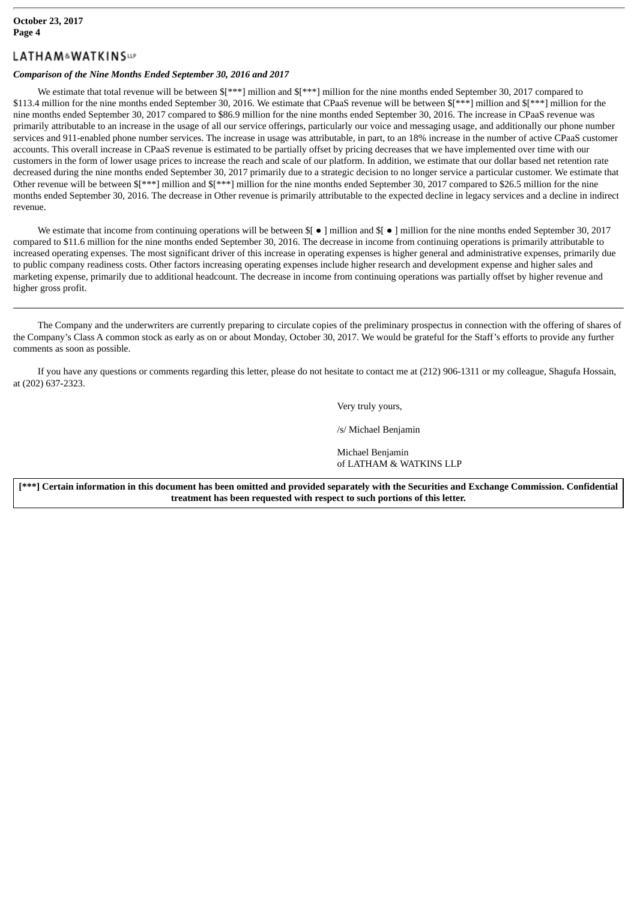#### **October 23, 2017 Page 4**

## **LATHAM&WATKINSLIP**

#### *Comparison of the Nine Months Ended September 30, 2016 and 2017*

We estimate that total revenue will be between  $f***$ ] million and  $f***$ ] million for the nine months ended September 30, 2017 compared to \$113.4 million for the nine months ended September 30, 2016. We estimate that CPaaS revenue will be between \$[\*\*\*] million and \$[\*\*\*] million for the nine months ended September 30, 2017 compared to \$86.9 million for the nine months ended September 30, 2016. The increase in CPaaS revenue was primarily attributable to an increase in the usage of all our service offerings, particularly our voice and messaging usage, and additionally our phone number services and 911-enabled phone number services. The increase in usage was attributable, in part, to an 18% increase in the number of active CPaaS customer accounts. This overall increase in CPaaS revenue is estimated to be partially offset by pricing decreases that we have implemented over time with our customers in the form of lower usage prices to increase the reach and scale of our platform. In addition, we estimate that our dollar based net retention rate decreased during the nine months ended September 30, 2017 primarily due to a strategic decision to no longer service a particular customer. We estimate that Other revenue will be between \$[\*\*\*] million and \$[\*\*\*] million for the nine months ended September 30, 2017 compared to \$26.5 million for the nine months ended September 30, 2016. The decrease in Other revenue is primarily attributable to the expected decline in legacy services and a decline in indirect revenue.

We estimate that income from continuing operations will be between \$[ ● ] million and \$[ ● ] million for the nine months ended September 30, 2017 compared to \$11.6 million for the nine months ended September 30, 2016. The decrease in income from continuing operations is primarily attributable to increased operating expenses. The most significant driver of this increase in operating expenses is higher general and administrative expenses, primarily due to public company readiness costs. Other factors increasing operating expenses include higher research and development expense and higher sales and marketing expense, primarily due to additional headcount. The decrease in income from continuing operations was partially offset by higher revenue and higher gross profit.

The Company and the underwriters are currently preparing to circulate copies of the preliminary prospectus in connection with the offering of shares of the Company's Class A common stock as early as on or about Monday, October 30, 2017. We would be grateful for the Staff's efforts to provide any further comments as soon as possible.

If you have any questions or comments regarding this letter, please do not hesitate to contact me at (212) 906-1311 or my colleague, Shagufa Hossain, at (202) 637-2323.

Very truly yours,

/s/ Michael Benjamin

Michael Benjamin of LATHAM & WATKINS LLP